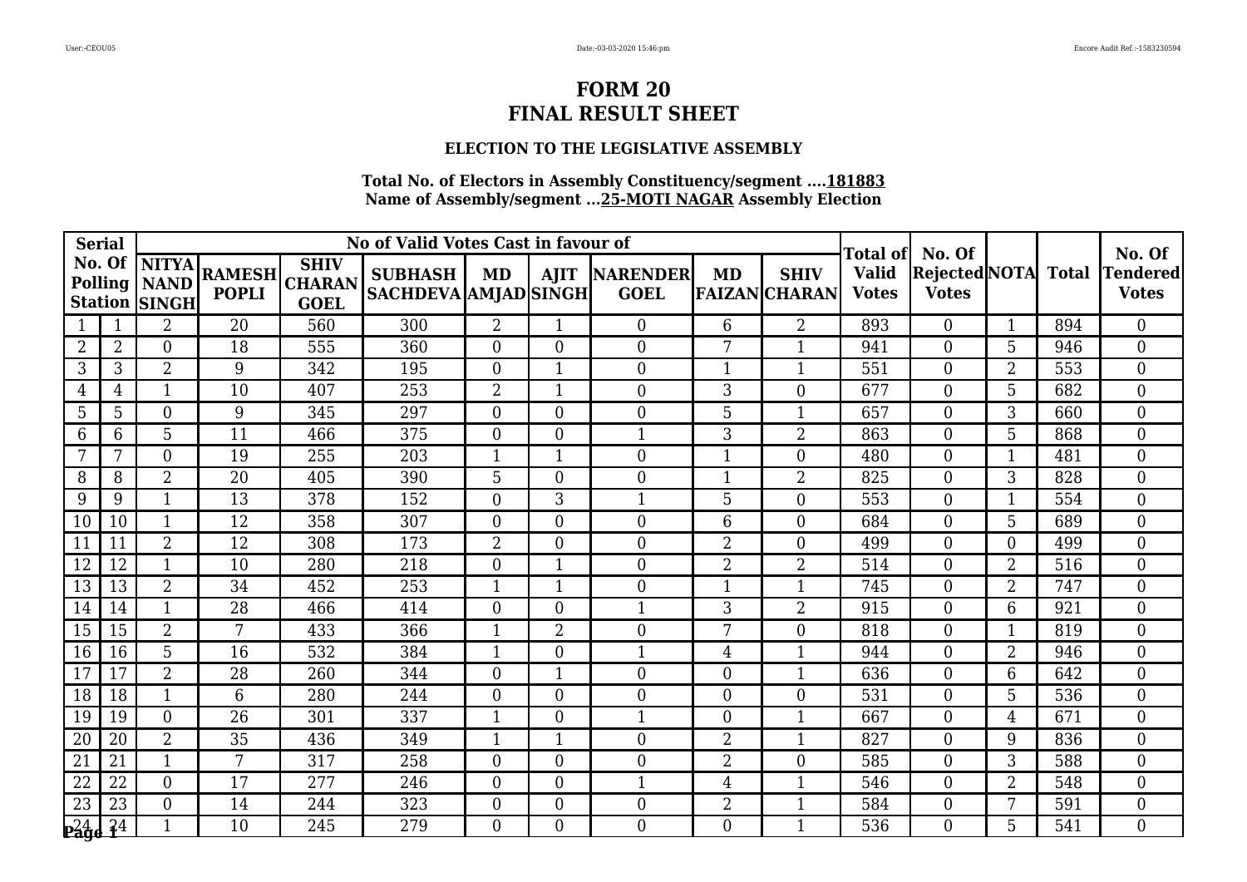### **ELECTION TO THE LEGISLATIVE ASSEMBLY**

| <b>Serial</b>   |                |                                                            |                               |                                             | No of Valid Votes Cast in favour of           |                | Total of       | No. Of                              |                  |                                     | No. Of                       |                                |                |              |                                 |
|-----------------|----------------|------------------------------------------------------------|-------------------------------|---------------------------------------------|-----------------------------------------------|----------------|----------------|-------------------------------------|------------------|-------------------------------------|------------------------------|--------------------------------|----------------|--------------|---------------------------------|
|                 |                | No. Of $NITYA$<br>Polling   NAND  <br><b>Station SINGH</b> | <b>RAMESH</b><br><b>POPLI</b> | <b>SHIV</b><br><b>CHARAN</b><br><b>GOEL</b> | <b>SUBHASH</b><br><b>SACHDEVA AMJAD SINGH</b> | MD             |                | <b>AJIT NARENDER</b><br><b>GOEL</b> | MD               | <b>SHIV</b><br><b>FAIZAN CHARAN</b> | <b>Valid</b><br><b>Votes</b> | Rejected NOTA <br><b>Votes</b> |                | <b>Total</b> | <b>Tendered</b><br><b>Votes</b> |
|                 |                | $\overline{2}$                                             | 20                            | 560                                         | 300                                           | $\overline{2}$ | $\mathbf 1$    | $\mathbf{0}$                        | 6                | $\overline{2}$                      | 893                          | $\theta$                       | $\mathbf{1}$   | 894          | $\overline{0}$                  |
| $\overline{2}$  | $\overline{2}$ | $\overline{0}$                                             | 18                            | 555                                         | 360                                           | $\overline{0}$ | $\overline{0}$ | $\boldsymbol{0}$                    | 7                | $\mathbf{1}$                        | 941                          | $\theta$                       | 5              | 946          | $\overline{0}$                  |
| 3               | 3              | $\overline{2}$                                             | 9                             | 342                                         | 195                                           | $\Omega$       | $\mathbf 1$    | $\boldsymbol{0}$                    | $\mathbf{1}$     | 1                                   | 551                          | $\Omega$                       | $\overline{2}$ | 553          | $\overline{0}$                  |
| 4               | $\overline{4}$ | $\mathbf{1}$                                               | 10                            | 407                                         | 253                                           | $\overline{2}$ | $\mathbf{1}$   | $\boldsymbol{0}$                    | 3                | $\overline{0}$                      | 677                          | $\Omega$                       | 5              | 682          | $\overline{0}$                  |
| 5               | 5              | $\overline{0}$                                             | 9                             | 345                                         | 297                                           | $\overline{0}$ | $\overline{0}$ | $\boldsymbol{0}$                    | 5                | 1                                   | 657                          | $\theta$                       | 3              | 660          | $\overline{0}$                  |
| 6               | 6              | 5                                                          | 11                            | 466                                         | 375                                           | $\Omega$       | $\Omega$       | $\mathbf{1}$                        | 3                | $\overline{2}$                      | 863                          | $\Omega$                       | 5              | 868          | $\overline{0}$                  |
| 7               | 7              | $\Omega$                                                   | 19                            | 255                                         | 203                                           | $\mathbf{1}$   | $\mathbf{1}$   | $\boldsymbol{0}$                    | $\mathbf{1}$     | $\overline{0}$                      | 480                          | $\Omega$                       | 1              | 481          | $\theta$                        |
| 8               | 8              | $\overline{2}$                                             | 20                            | 405                                         | 390                                           | $5\phantom{.}$ | $\overline{0}$ | $\boldsymbol{0}$                    | $\mathbf{1}$     | $\overline{2}$                      | 825                          | $\Omega$                       | 3              | 828          | $\overline{0}$                  |
| 9               | 9              | $\mathbf{1}$                                               | 13                            | 378                                         | 152                                           | $\overline{0}$ | 3              | $\mathbf{1}$                        | 5                | $\overline{0}$                      | 553                          | $\Omega$                       | $\mathbf{1}$   | 554          | $\overline{0}$                  |
| 10              | 10             | $\mathbf{1}$                                               | 12                            | 358                                         | 307                                           | $\Omega$       | $\Omega$       | $\overline{0}$                      | 6                | $\overline{0}$                      | 684                          | $\Omega$                       | 5              | 689          | $\overline{0}$                  |
| 11              | 11             | 2                                                          | 12                            | 308                                         | 173                                           | 2              | $\overline{0}$ | $\boldsymbol{0}$                    | 2                | 0                                   | 499                          | $\Omega$                       | $\Omega$       | 499          | $\overline{0}$                  |
| 12              | 12             | $\mathbf{1}$                                               | 10                            | 280                                         | 218                                           | $\overline{0}$ |                | $\boldsymbol{0}$                    | $\overline{2}$   | $\overline{2}$                      | 514                          | $\Omega$                       | $\overline{2}$ | 516          | $\boldsymbol{0}$                |
| 13              | 13             | 2                                                          | 34                            | 452                                         | 253                                           | $\mathbf{1}$   | $\mathbf{1}$   | $\boldsymbol{0}$                    | $\mathbf{1}$     | 1                                   | 745                          | $\Omega$                       | $\overline{2}$ | 747          | $\overline{0}$                  |
| 14              | 14             |                                                            | 28                            | 466                                         | 414                                           | $\theta$       | $\overline{0}$ | $\mathbf{1}$                        | 3                | 2                                   | 915                          | $\Omega$                       | 6              | 921          | $\Omega$                        |
| 15              | 15             | $\overline{2}$                                             | 7                             | 433                                         | 366                                           | $\mathbf 1$    | $\overline{2}$ | $\boldsymbol{0}$                    | $\overline{7}$   | $\overline{0}$                      | 818                          | $\Omega$                       | 1              | 819          | $\boldsymbol{0}$                |
| 16              | 16             | 5 <sup>5</sup>                                             | 16                            | 532                                         | 384                                           | $\mathbf{1}$   | $\overline{0}$ | $\mathbf{1}$                        | $\overline{4}$   | 1                                   | 944                          | $\Omega$                       | $\overline{2}$ | 946          | $\overline{0}$                  |
| 17              | 17             | 2                                                          | 28                            | 260                                         | 344                                           | $\overline{0}$ |                | $\boldsymbol{0}$                    | $\boldsymbol{0}$ | 1                                   | 636                          | $\Omega$                       | 6              | 642          | $\overline{0}$                  |
| 18              | 18             | $\mathbf{1}$                                               | 6                             | 280                                         | 244                                           | $\overline{0}$ | $\overline{0}$ | $\boldsymbol{0}$                    | $\overline{0}$   | 0                                   | 531                          | $\Omega$                       | 5              | 536          | $\boldsymbol{0}$                |
| 19              | 19             | $\overline{0}$                                             | 26                            | 301                                         | 337                                           | $\mathbf{1}$   | $\overline{0}$ | $\mathbf{1}$                        | $\overline{0}$   | $\mathbf{1}$                        | 667                          | $\Omega$                       | $\overline{4}$ | 671          | $\overline{0}$                  |
| 20              | 20             | 2                                                          | 35                            | 436                                         | 349                                           | $\mathbf 1$    |                | $\overline{0}$                      | $\overline{2}$   | 1                                   | 827                          | $\Omega$                       | 9              | 836          | $\overline{0}$                  |
| 21              | 21             | $\mathbf{1}$                                               | 7                             | 317                                         | 258                                           | $\overline{0}$ | 0              | $\boldsymbol{0}$                    | $\overline{2}$   | $\overline{0}$                      | 585                          | $\Omega$                       | 3              | 588          | $\boldsymbol{0}$                |
| 22              | 22             | $\Omega$                                                   | 17                            | 277                                         | 246                                           | $\overline{0}$ | $\overline{0}$ | $\mathbf{1}$                        | 4                | $\mathbf{1}$                        | 546                          | $\Omega$                       | $\overline{2}$ | 548          | $\overline{0}$                  |
| $\overline{23}$ | 23             | $\theta$                                                   | 14                            | 244                                         | 323                                           | $\theta$       | $\overline{0}$ | $\overline{0}$                      | $\overline{2}$   |                                     | 584                          | $\Omega$                       | 7              | 591          | $\overline{0}$                  |
| $P^2_4$ d       | 3 <sup>4</sup> | 1                                                          | 10                            | 245                                         | 279                                           | $\overline{0}$ | 0              | $\boldsymbol{0}$                    | $\overline{0}$   |                                     | 536                          | $\Omega$                       | 5              | 541          | $\overline{0}$                  |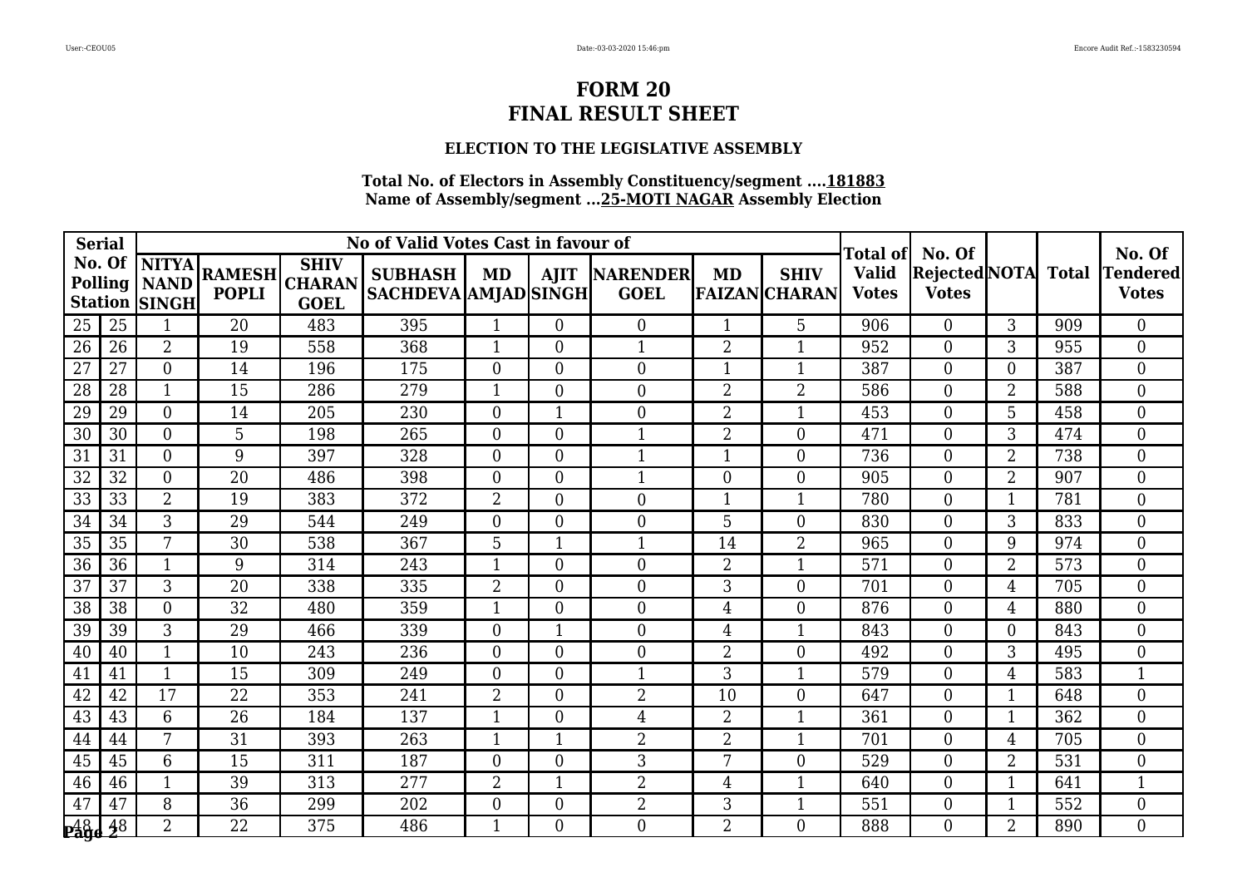### **ELECTION TO THE LEGISLATIVE ASSEMBLY**

| <b>Serial</b>   |        |                                                          |                               |                                             | No of Valid Votes Cast in favour of           |                | Total of       | No. Of                              |                  |                                     | No. Of                       |                                     |                  |     |                                 |
|-----------------|--------|----------------------------------------------------------|-------------------------------|---------------------------------------------|-----------------------------------------------|----------------|----------------|-------------------------------------|------------------|-------------------------------------|------------------------------|-------------------------------------|------------------|-----|---------------------------------|
|                 | No. Of | <b>NITYA</b><br>Polling   NAND  <br><b>Station SINGH</b> | <b>RAMESH</b><br><b>POPLI</b> | <b>SHIV</b><br><b>CHARAN</b><br><b>GOEL</b> | <b>SUBHASH</b><br><b>SACHDEVA AMJAD SINGH</b> | MD             |                | <b>AJIT NARENDER</b><br><b>GOEL</b> | MD               | <b>SHIV</b><br><b>FAIZAN CHARAN</b> | <b>Valid</b><br><b>Votes</b> | Rejected NOTA Total<br><b>Votes</b> |                  |     | <b>Tendered</b><br><b>Votes</b> |
| 25              | 25     | $\mathbf{1}$                                             | 20                            | 483                                         | 395                                           | 1              | $\theta$       | $\boldsymbol{0}$                    | $\mathbf{1}$     | 5                                   | 906                          | $\theta$                            | 3                | 909 | $\overline{0}$                  |
| 26              | 26     | $\overline{2}$                                           | 19                            | 558                                         | 368                                           | $\mathbf{1}$   | $\overline{0}$ | $\mathbf{1}$                        | $\overline{2}$   | 1                                   | 952                          | $\overline{0}$                      | 3                | 955 | $\overline{0}$                  |
| 27              | 27     | $\Omega$                                                 | 14                            | 196                                         | 175                                           | $\Omega$       | $\Omega$       | $\boldsymbol{0}$                    | $\mathbf{1}$     | 1                                   | 387                          | $\Omega$                            | $\Omega$         | 387 | $\overline{0}$                  |
| $\overline{28}$ | 28     | $\mathbf{1}$                                             | 15                            | 286                                         | 279                                           | $\mathbf{1}$   | $\Omega$       | $\overline{0}$                      | $\overline{2}$   | $\overline{2}$                      | 586                          | $\theta$                            | $\overline{2}$   | 588 | $\overline{0}$                  |
| 29              | 29     | $\overline{0}$                                           | 14                            | 205                                         | 230                                           | $\overline{0}$ |                | $\boldsymbol{0}$                    | $\overline{2}$   | 1                                   | 453                          | $\Omega$                            | 5                | 458 | $\overline{0}$                  |
| 30              | 30     | $\Omega$                                                 | 5                             | 198                                         | 265                                           | $\Omega$       | $\Omega$       | $\mathbf{1}$                        | $\overline{2}$   | $\Omega$                            | 471                          | $\Omega$                            | 3                | 474 | $\overline{0}$                  |
| 31              | 31     | $\theta$                                                 | 9                             | 397                                         | 328                                           | $\Omega$       | $\Omega$       | $\mathbf{1}$                        | $\mathbf{1}$     | $\Omega$                            | 736                          | $\Omega$                            | $\overline{2}$   | 738 | $\overline{0}$                  |
| 32              | 32     | $\overline{0}$                                           | 20                            | 486                                         | 398                                           | $\Omega$       | $\overline{0}$ | $\mathbf{1}$                        | $\boldsymbol{0}$ | $\overline{0}$                      | 905                          | $\Omega$                            | $\overline{2}$   | 907 | $\boldsymbol{0}$                |
| 33              | 33     | 2                                                        | 19                            | 383                                         | 372                                           | $\overline{2}$ | $\theta$       | $\boldsymbol{0}$                    | $\mathbf{1}$     | $\mathbf{1}$                        | 780                          | $\overline{0}$                      | $\mathbf{1}$     | 781 | $\overline{0}$                  |
| $\overline{34}$ | 34     | 3                                                        | $\overline{29}$               | 544                                         | 249                                           | $\Omega$       | $\Omega$       | $\overline{0}$                      | 5                | $\Omega$                            | 830                          | $\Omega$                            | 3                | 833 | $\overline{0}$                  |
| 35              | 35     | 7                                                        | 30                            | 538                                         | 367                                           | 5              |                | $\mathbf{1}$                        | 14               | $\overline{2}$                      | 965                          | $\Omega$                            | 9                | 974 | $\overline{0}$                  |
| 36              | 36     | $\mathbf{1}$                                             | 9                             | 314                                         | 243                                           | $\mathbf{1}$   | $\theta$       | $\boldsymbol{0}$                    | $\overline{2}$   | $\mathbf{1}$                        | 571                          | $\overline{0}$                      | $\overline{2}$   | 573 | $\overline{0}$                  |
| $\overline{37}$ | 37     | 3                                                        | $\overline{20}$               | 338                                         | 335                                           | $\overline{2}$ | $\Omega$       | $\overline{0}$                      | 3                | $\Omega$                            | 701                          | $\Omega$                            | $\overline{4}$   | 705 | $\overline{0}$                  |
| 38              | 38     | $\overline{0}$                                           | 32                            | 480                                         | 359                                           |                | $\Omega$       | $\boldsymbol{0}$                    | $\overline{4}$   | $\Omega$                            | 876                          | $\Omega$                            | 4                | 880 | $\overline{0}$                  |
| 39              | 39     | 3                                                        | 29                            | 466                                         | 339                                           | $\Omega$       |                | $\boldsymbol{0}$                    | $\overline{4}$   | 1                                   | 843                          | $\overline{0}$                      | $\boldsymbol{0}$ | 843 | $\overline{0}$                  |
| 40              | 40     | $\mathbf{1}$                                             | 10                            | 243                                         | 236                                           | $\Omega$       | $\Omega$       | $\overline{0}$                      | $\overline{2}$   | $\theta$                            | 492                          | $\theta$                            | 3                | 495 | $\overline{0}$                  |
| 41              | 41     | 1                                                        | 15                            | 309                                         | 249                                           | $\Omega$       | $\Omega$       | $\mathbf{1}$                        | 3                | 1                                   | 579                          | $\Omega$                            | 4                | 583 | $\mathbf{1}$                    |
| 42              | 42     | 17                                                       | $\overline{22}$               | 353                                         | 241                                           | $\overline{2}$ | $\theta$       | $\overline{2}$                      | 10               | $\overline{0}$                      | 647                          | $\overline{0}$                      |                  | 648 | $\overline{0}$                  |
| 43              | 43     | 6                                                        | 26                            | 184                                         | 137                                           | $\mathbf{1}$   | $\Omega$       | $\overline{4}$                      | $\overline{2}$   | 1                                   | 361                          | $\theta$                            | $\mathbf{1}$     | 362 | $\overline{0}$                  |
| 44              | 44     | 7                                                        | 31                            | 393                                         | 263                                           | $\mathbf 1$    |                | $\overline{2}$                      | $\overline{2}$   | 1                                   | 701                          | $\Omega$                            | 4                | 705 | $\overline{0}$                  |
| 45              | 45     | 6                                                        | 15                            | 311                                         | 187                                           | $\overline{0}$ | $\theta$       | 3                                   | 7                | $\overline{0}$                      | 529                          | $\overline{0}$                      | $\overline{2}$   | 531 | $\overline{0}$                  |
| 46              | 46     | $\mathbf{1}$                                             | 39                            | 313                                         | 277                                           | $\overline{2}$ |                | $\overline{2}$                      | $\overline{4}$   | 1                                   | 640                          | $\Omega$                            | $\mathbf{1}$     | 641 | $\mathbf{1}$                    |
| 47              | 47     | 8                                                        | 36                            | 299                                         | 202                                           | $\overline{0}$ | $\Omega$       | $\overline{2}$                      | 3                |                                     | 551                          | $\Omega$                            |                  | 552 | $\overline{0}$                  |
| <b>Page 28</b>  |        | $\overline{2}$                                           | 22                            | 375                                         | 486                                           | 1              | $\theta$       | $\boldsymbol{0}$                    | $\overline{2}$   | $\Omega$                            | 888                          | $\overline{0}$                      | $\overline{2}$   | 890 | $\overline{0}$                  |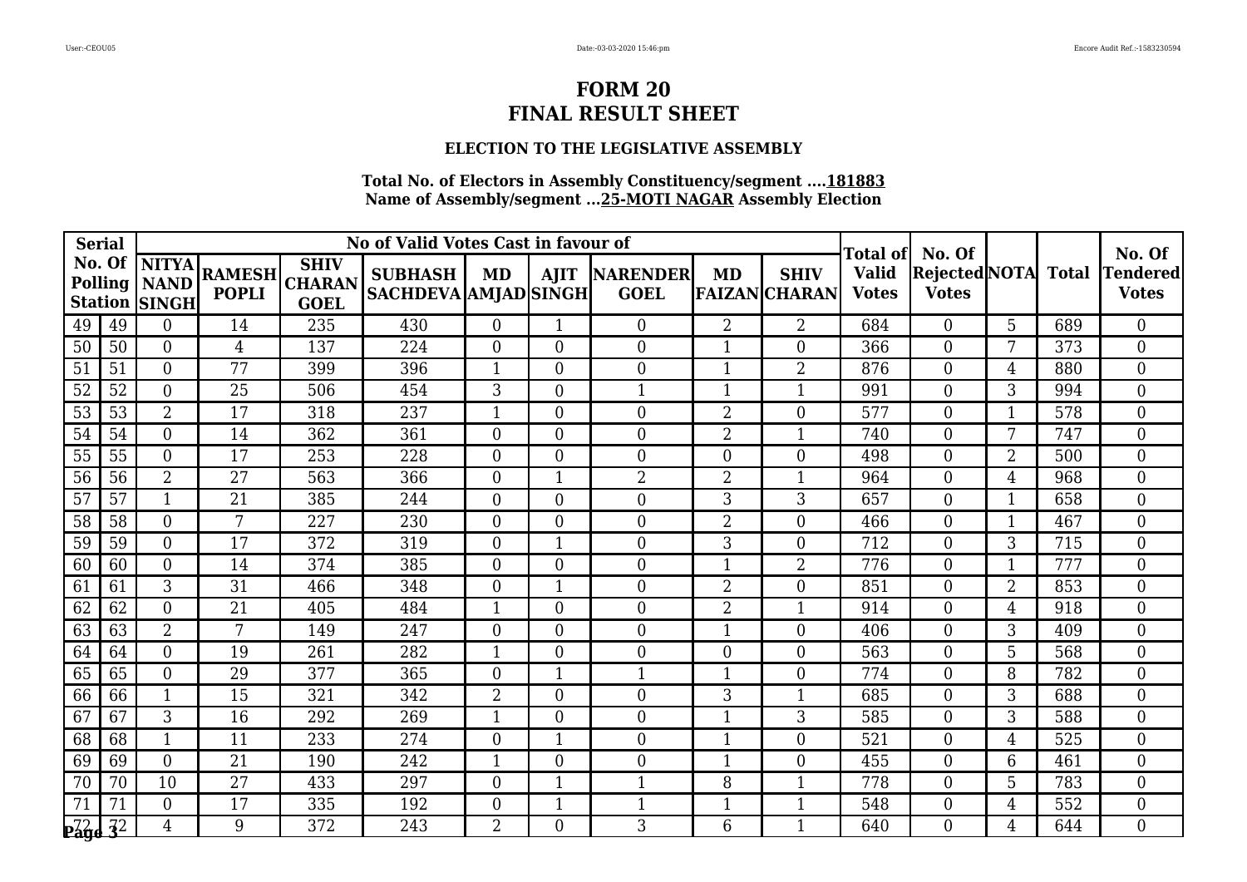## **ELECTION TO THE LEGISLATIVE ASSEMBLY**

| <b>Serial</b>   |    |                                                                 |                               |                                             | No of Valid Votes Cast in favour of           |                | Total of       | No. Of                       |                |                                     | No. Of                       |                                |                |              |                                 |
|-----------------|----|-----------------------------------------------------------------|-------------------------------|---------------------------------------------|-----------------------------------------------|----------------|----------------|------------------------------|----------------|-------------------------------------|------------------------------|--------------------------------|----------------|--------------|---------------------------------|
|                 |    | No. Of  NITYA <br><b>Polling   NAND</b><br><b>Station SINGH</b> | <b>RAMESH</b><br><b>POPLI</b> | <b>SHIV</b><br><b>CHARAN</b><br><b>GOEL</b> | <b>SUBHASH</b><br><b>SACHDEVA AMJAD SINGH</b> | MD             |                | AJIT NARENDER<br><b>GOEL</b> | <b>MD</b>      | <b>SHIV</b><br><b>FAIZAN CHARAN</b> | <b>Valid</b><br><b>Votes</b> | Rejected NOTA <br><b>Votes</b> |                | <b>Total</b> | <b>Tendered</b><br><b>Votes</b> |
| 49              | 49 | $\Omega$                                                        | 14                            | 235                                         | 430                                           | $\overline{0}$ |                | $\boldsymbol{0}$             | $\overline{2}$ | $\overline{2}$                      | 684                          | $\Omega$                       | 5              | 689          | $\overline{0}$                  |
| 50              | 50 | $\overline{0}$                                                  | $\overline{4}$                | 137                                         | 224                                           | $\overline{0}$ | $\overline{0}$ | $\boldsymbol{0}$             | $\mathbf{1}$   | $\overline{0}$                      | 366                          | $\theta$                       | 7              | 373          | $\overline{0}$                  |
| 51              | 51 | $\Omega$                                                        | 77                            | 399                                         | 396                                           | $\mathbf{1}$   | $\overline{0}$ | $\overline{0}$               | 1              | $\overline{2}$                      | 876                          | $\Omega$                       | $\overline{4}$ | 880          | $\overline{0}$                  |
| $\overline{52}$ | 52 | $\Omega$                                                        | $\overline{25}$               | 506                                         | 454                                           | 3              | $\overline{0}$ | $\mathbf{1}$                 | $\mathbf{1}$   | 1                                   | 991                          | $\Omega$                       | 3              | 994          | $\overline{0}$                  |
| 53              | 53 | $\overline{2}$                                                  | 17                            | 318                                         | 237                                           | -1             | $\overline{0}$ | $\boldsymbol{0}$             | $\overline{2}$ | $\overline{0}$                      | 577                          | $\theta$                       | 1              | 578          | $\overline{0}$                  |
| 54              | 54 | $\Omega$                                                        | 14                            | 362                                         | 361                                           | $\overline{0}$ | $\Omega$       | $\boldsymbol{0}$             | $\overline{2}$ | $\mathbf{1}$                        | 740                          | $\Omega$                       | 7              | 747          | $\boldsymbol{0}$                |
| 55              | 55 | $\overline{0}$                                                  | 17                            | 253                                         | 228                                           | $\Omega$       | $\overline{0}$ | $\boldsymbol{0}$             | $\overline{0}$ | $\overline{0}$                      | 498                          | $\Omega$                       | $\overline{2}$ | 500          | $\theta$                        |
| 56              | 56 | $\overline{2}$                                                  | 27                            | 563                                         | 366                                           | $\overline{0}$ |                | $\overline{2}$               | $\overline{2}$ | 1                                   | 964                          | $\Omega$                       | 4              | 968          | $\overline{0}$                  |
| 57              | 57 | $\mathbf{1}$                                                    | 21                            | 385                                         | 244                                           | $\Omega$       | $\Omega$       | $\boldsymbol{0}$             | 3              | 3                                   | 657                          | $\Omega$                       | 1              | 658          | $\overline{0}$                  |
| 58              | 58 | $\overline{0}$                                                  | 7                             | 227                                         | 230                                           | $\Omega$       | $\overline{0}$ | $\boldsymbol{0}$             | $\overline{2}$ | $\overline{0}$                      | 466                          | $\Omega$                       | 1              | 467          | $\overline{0}$                  |
| 59              | 59 | $\Omega$                                                        | 17                            | 372                                         | 319                                           | $\overline{0}$ |                | $\boldsymbol{0}$             | 3              | 0                                   | 712                          | $\theta$                       | 3              | 715          | $\overline{0}$                  |
| 60              | 60 | $\Omega$                                                        | 14                            | 374                                         | 385                                           | $\overline{0}$ | $\overline{0}$ | $\boldsymbol{0}$             | $\mathbf{1}$   | 2                                   | 776                          | $\Omega$                       | 1              | 777          | $\overline{0}$                  |
| 61              | 61 | 3                                                               | 31                            | 466                                         | 348                                           | $\overline{0}$ | 1              | $\boldsymbol{0}$             | $\overline{2}$ | $\overline{0}$                      | 851                          | $\Omega$                       | $\overline{2}$ | 853          | $\overline{0}$                  |
| 62              | 62 | $\overline{0}$                                                  | 21                            | 405                                         | 484                                           |                | $\overline{0}$ | $\boldsymbol{0}$             | 2              |                                     | 914                          | $\theta$                       | 4              | 918          | $\overline{0}$                  |
| 63              | 63 | $\overline{2}$                                                  | 7                             | 149                                         | 247                                           | $\Omega$       | 0              | $\boldsymbol{0}$             | $\mathbf{1}$   | $\overline{0}$                      | 406                          | $\Omega$                       | 3              | 409          | $\overline{0}$                  |
| 64              | 64 | $\overline{0}$                                                  | 19                            | 261                                         | 282                                           | $\mathbf{1}$   | $\overline{0}$ | $\boldsymbol{0}$             | $\overline{0}$ | $\overline{0}$                      | 563                          | $\Omega$                       | 5              | 568          | $\overline{0}$                  |
| 65              | 65 | $\overline{0}$                                                  | 29                            | 377                                         | 365                                           | $\overline{0}$ |                | $\mathbf 1$                  | $\mathbf{1}$   | 0                                   | 774                          | $\Omega$                       | 8              | 782          | $\overline{0}$                  |
| 66              | 66 | $\mathbf{1}$                                                    | 15                            | 321                                         | 342                                           | $\overline{2}$ | $\overline{0}$ | $\boldsymbol{0}$             | 3              |                                     | 685                          | $\Omega$                       | 3              | 688          | $\boldsymbol{0}$                |
| 67              | 67 | 3                                                               | 16                            | 292                                         | 269                                           | $\mathbf{1}$   | $\overline{0}$ | $\overline{0}$               | $\mathbf{1}$   | 3                                   | 585                          | $\Omega$                       | 3              | 588          | $\Omega$                        |
| 68              | 68 | $\mathbf 1$                                                     | 11                            | 233                                         | 274                                           | $\overline{0}$ |                | $\boldsymbol{0}$             | $\mathbf{1}$   | 0                                   | 521                          | $\theta$                       | 4              | 525          | $\Omega$                        |
| 69              | 69 | $\overline{0}$                                                  | 21                            | 190                                         | 242                                           |                | $\overline{0}$ | $\boldsymbol{0}$             | 1              | $\boldsymbol{0}$                    | 455                          | $\Omega$                       | 6              | 461          | $\overline{0}$                  |
| 70              | 70 | 10                                                              | 27                            | 433                                         | 297                                           | $\overline{0}$ | 1              | $\mathbf{1}$                 | 8              | $\mathbf{1}$                        | 778                          | $\Omega$                       | 5              | 783          | $\Omega$                        |
| 71              | 71 | $\Omega$                                                        | 17                            | 335                                         | 192                                           | $\theta$       |                | $\mathbf{1}$                 | 1              |                                     | 548                          | $\Omega$                       | 4              | 552          | $\Omega$                        |
| <b>Page 32</b>  |    | $\overline{4}$                                                  | 9                             | 372                                         | 243                                           | $\overline{2}$ | 0              | 3                            | 6              |                                     | 640                          | $\Omega$                       | 4              | 644          | $\overline{0}$                  |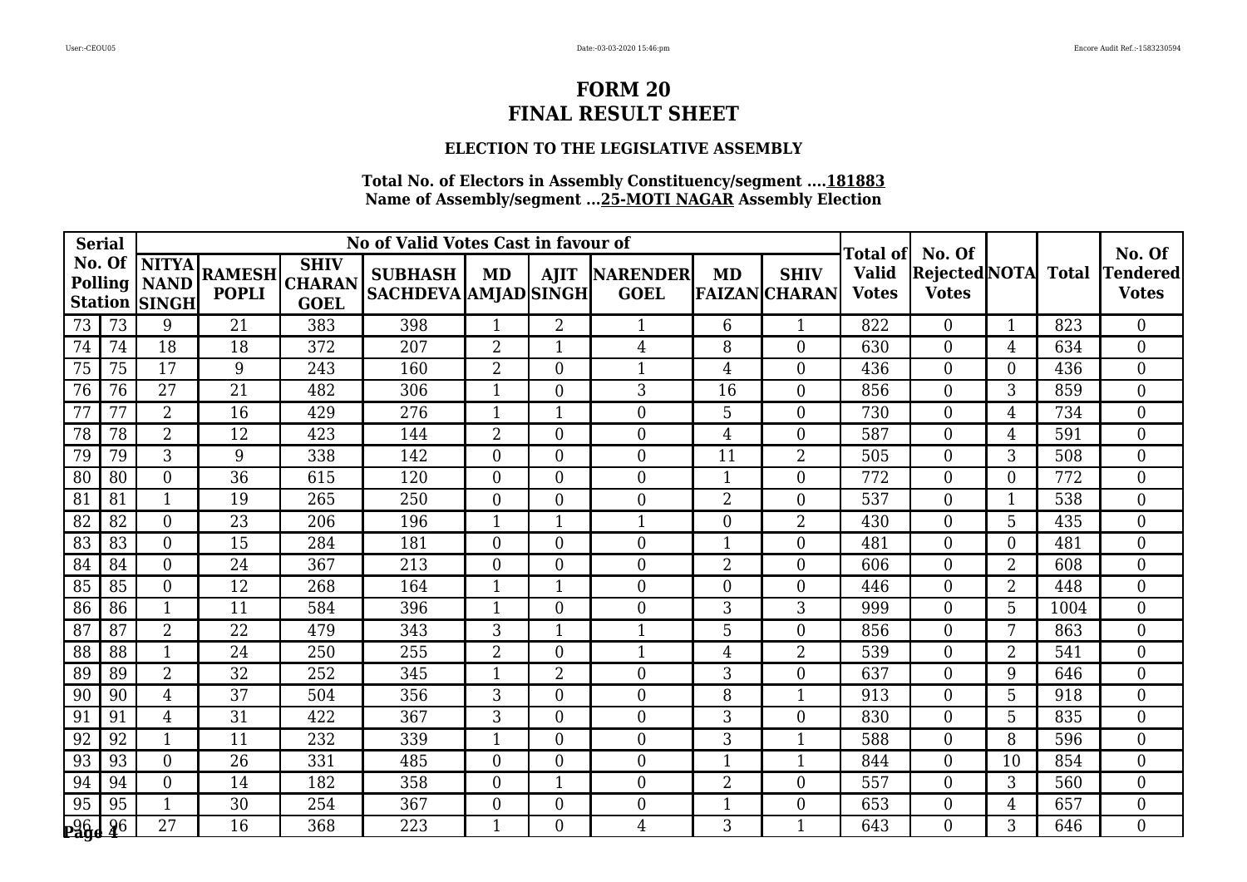## **ELECTION TO THE LEGISLATIVE ASSEMBLY**

| <b>Serial</b>  |        |                                                          |                               | No of Valid Votes Cast in favour of         |                                               | Total of       | No. Of         |                                     |                | No. Of                              |                              |                                     |                |      |                                 |
|----------------|--------|----------------------------------------------------------|-------------------------------|---------------------------------------------|-----------------------------------------------|----------------|----------------|-------------------------------------|----------------|-------------------------------------|------------------------------|-------------------------------------|----------------|------|---------------------------------|
|                | No. Of | <b>NITYA</b><br>Polling   NAND  <br><b>Station SINGH</b> | <b>RAMESH</b><br><b>POPLI</b> | <b>SHIV</b><br><b>CHARAN</b><br><b>GOEL</b> | <b>SUBHASH</b><br><b>SACHDEVA AMJAD SINGH</b> | MD             |                | <b>AJIT NARENDER</b><br><b>GOEL</b> | MD             | <b>SHIV</b><br><b>FAIZAN CHARAN</b> | <b>Valid</b><br><b>Votes</b> | Rejected NOTA Total<br><b>Votes</b> |                |      | <b>Tendered</b><br><b>Votes</b> |
| 73             | 73     | 9                                                        | 21                            | 383                                         | 398                                           | $\mathbf{1}$   | $\overline{2}$ | $\mathbf{1}$                        | 6              | 1                                   | 822                          | $\Omega$                            | 1              | 823  | $\overline{0}$                  |
| 74             | 74     | 18                                                       | 18                            | 372                                         | 207                                           | $\overline{2}$ | $\mathbf{1}$   | $\overline{4}$                      | 8              | $\overline{0}$                      | 630                          | $\overline{0}$                      | 4              | 634  | $\overline{0}$                  |
| 75             | 75     | 17                                                       | 9                             | 243                                         | 160                                           | $\overline{2}$ | $\Omega$       | $\mathbf{1}$                        | $\overline{4}$ | $\theta$                            | 436                          | $\Omega$                            | $\Omega$       | 436  | $\overline{0}$                  |
| 76             | 76     | $\overline{27}$                                          | $\overline{21}$               | 482                                         | 306                                           | $\mathbf{1}$   | $\Omega$       | 3                                   | 16             | $\Omega$                            | 856                          | $\Omega$                            | 3              | 859  | $\overline{0}$                  |
| 77             | 77     | $\overline{2}$                                           | 16                            | 429                                         | 276                                           | $\mathbf{1}$   |                | $\boldsymbol{0}$                    | 5              | $\overline{0}$                      | 730                          | $\Omega$                            | 4              | 734  | $\overline{0}$                  |
| 78             | 78     | $\overline{2}$                                           | 12                            | 423                                         | 144                                           | $\overline{2}$ | $\Omega$       | $\boldsymbol{0}$                    | $\overline{4}$ | $\Omega$                            | 587                          | $\Omega$                            | 4              | 591  | $\overline{0}$                  |
| 79             | 79     | 3                                                        | 9                             | 338                                         | 142                                           | $\Omega$       | $\Omega$       | $\overline{0}$                      | 11             | $\overline{2}$                      | 505                          | $\Omega$                            | 3              | 508  | $\overline{0}$                  |
| 80             | 80     | $\overline{0}$                                           | 36                            | 615                                         | 120                                           | $\overline{0}$ | $\Omega$       | $\boldsymbol{0}$                    | $\mathbf{1}$   | $\overline{0}$                      | 772                          | $\Omega$                            | $\overline{0}$ | 772  | $\boldsymbol{0}$                |
| 81             | 81     | $\mathbf{1}$                                             | 19                            | 265                                         | 250                                           | $\Omega$       | $\theta$       | $\boldsymbol{0}$                    | $\overline{2}$ | $\overline{0}$                      | 537                          | $\overline{0}$                      | $\mathbf{1}$   | 538  | $\overline{0}$                  |
| 82             | 82     | $\theta$                                                 | $\overline{23}$               | 206                                         | 196                                           | $\mathbf{1}$   | 1              | $\mathbf{1}$                        | $\overline{0}$ | $\overline{2}$                      | 430                          | $\Omega$                            | 5              | 435  | $\overline{0}$                  |
| 83             | 83     | $\overline{0}$                                           | 15                            | 284                                         | 181                                           | $\Omega$       | $\Omega$       | $\boldsymbol{0}$                    | $\mathbf{1}$   | $\overline{0}$                      | 481                          | $\Omega$                            | $\Omega$       | 481  | $\overline{0}$                  |
| 84             | 84     | $\overline{0}$                                           | 24                            | 367                                         | 213                                           | $\Omega$       | $\theta$       | $\boldsymbol{0}$                    | $\overline{2}$ | $\overline{0}$                      | 606                          | $\overline{0}$                      | $\overline{2}$ | 608  | $\overline{0}$                  |
| 85             | 85     | $\overline{0}$                                           | $\overline{12}$               | 268                                         | 164                                           | $\mathbf{1}$   | $\mathbf{1}$   | $\overline{0}$                      | $\overline{0}$ | $\Omega$                            | 446                          | $\theta$                            | $\overline{2}$ | 448  | $\overline{0}$                  |
| 86             | 86     |                                                          | 11                            | 584                                         | 396                                           |                | $\Omega$       | $\boldsymbol{0}$                    | 3              | 3                                   | 999                          | $\Omega$                            | 5              | 1004 | $\overline{0}$                  |
| 87             | 87     | $\overline{2}$                                           | 22                            | 479                                         | 343                                           | 3              |                | $\mathbf{1}$                        | 5              | $\overline{0}$                      | 856                          | $\overline{0}$                      | 7              | 863  | $\overline{0}$                  |
| 88             | 88     | $\mathbf{1}$                                             | 24                            | 250                                         | 255                                           | $\overline{2}$ | $\Omega$       | $\mathbf{1}$                        | $\overline{4}$ | $\overline{2}$                      | 539                          | $\theta$                            | $\overline{2}$ | 541  | $\overline{0}$                  |
| 89             | 89     | $\overline{2}$                                           | 32                            | 252                                         | 345                                           | $\mathbf 1$    | $\overline{2}$ | $\boldsymbol{0}$                    | 3              | $\theta$                            | 637                          | $\Omega$                            | 9              | 646  | $\overline{0}$                  |
| 90             | 90     | $\overline{4}$                                           | 37                            | 504                                         | 356                                           | 3              | $\theta$       | $\boldsymbol{0}$                    | 8              | 1                                   | 913                          | $\overline{0}$                      | 5              | 918  | $\overline{0}$                  |
| 91             | 91     | $\overline{4}$                                           | 31                            | 422                                         | 367                                           | 3              | $\Omega$       | $\overline{0}$                      | 3              | $\Omega$                            | 830                          | $\theta$                            | 5              | 835  | $\overline{0}$                  |
| 92             | 92     | 1                                                        | 11                            | 232                                         | 339                                           | $\mathbf 1$    | $\Omega$       | $\boldsymbol{0}$                    | 3              |                                     | 588                          | $\Omega$                            | 8              | 596  | $\overline{0}$                  |
| 93             | 93     | $\overline{0}$                                           | 26                            | 331                                         | 485                                           | $\overline{0}$ | $\theta$       | $\boldsymbol{0}$                    | $\mathbf{1}$   | 1                                   | 844                          | $\overline{0}$                      | 10             | 854  | $\overline{0}$                  |
| 94             | 94     | $\Omega$                                                 | 14                            | 182                                         | 358                                           | $\Omega$       | 1              | $\boldsymbol{0}$                    | $\overline{2}$ | $\Omega$                            | 557                          | $\Omega$                            | 3              | 560  | $\overline{0}$                  |
| 95             | 95     |                                                          | 30                            | 254                                         | 367                                           | $\overline{0}$ | $\Omega$       | $\overline{0}$                      | $\mathbf{1}$   | $\Omega$                            | 653                          | $\Omega$                            | 4              | 657  | $\overline{0}$                  |
| <b>Page 46</b> |        | 27                                                       | 16                            | 368                                         | 223                                           | 1              | $\theta$       | 4                                   | 3              |                                     | 643                          | $\theta$                            | 3              | 646  | $\overline{0}$                  |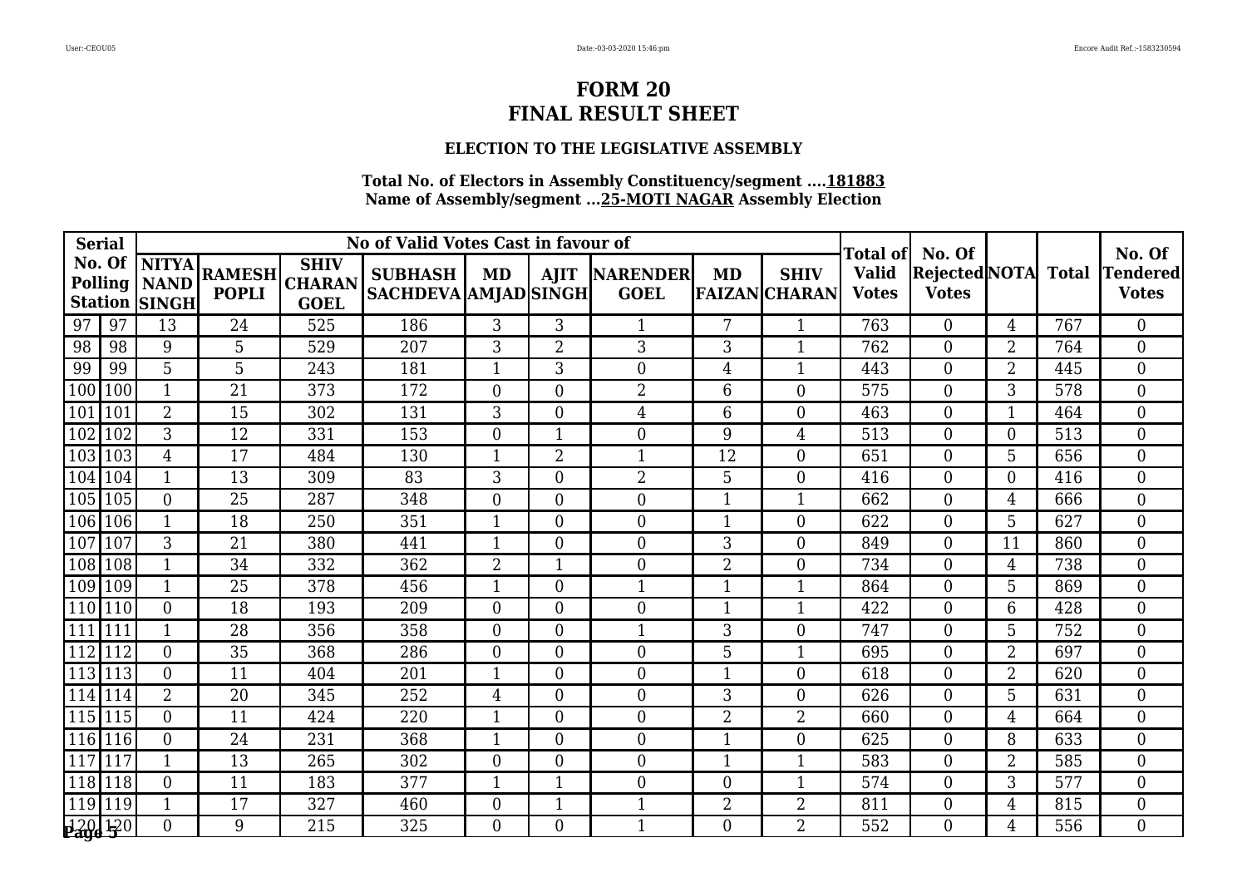### **ELECTION TO THE LEGISLATIVE ASSEMBLY**

| <b>Serial</b> |        |                                                          |                               |                                             | Total of                                      | No. Of                   |                |                                | No. Of           |                                     |                              |                                            |                |     |                                 |
|---------------|--------|----------------------------------------------------------|-------------------------------|---------------------------------------------|-----------------------------------------------|--------------------------|----------------|--------------------------------|------------------|-------------------------------------|------------------------------|--------------------------------------------|----------------|-----|---------------------------------|
|               | No. Of | <b>NITYA</b><br>Polling   NAND  <br><b>Station SINGH</b> | <b>RAMESH</b><br><b>POPLI</b> | <b>SHIV</b><br><b>CHARAN</b><br><b>GOEL</b> | <b>SUBHASH</b><br><b>SACHDEVA AMJAD SINGH</b> | MD                       |                | AJIT  NARENDER <br><b>GOEL</b> | MD               | <b>SHIV</b><br><b>FAIZAN</b> CHARAN | <b>Valid</b><br><b>Votes</b> | <b>Rejected</b> NOTA Total<br><b>Votes</b> |                |     | <b>Tendered</b><br><b>Votes</b> |
| 97            | 97     | 13                                                       | 24                            | 525                                         | 186                                           | 3                        | 3              | 1                              | 7                | 1                                   | 763                          | $\theta$                                   | 4              | 767 | $\overline{0}$                  |
| 98            | 98     | 9                                                        | 5                             | 529                                         | 207                                           | 3                        | $\overline{2}$ | 3                              | 3                | 1                                   | 762                          | $\Omega$                                   | $\overline{2}$ | 764 | $\overline{0}$                  |
| 99            | 99     | 5                                                        | 5                             | 243                                         | 181                                           | -1                       | 3              | $\boldsymbol{0}$               | $\overline{4}$   | 1                                   | 443                          | $\Omega$                                   | $\overline{2}$ | 445 | $\overline{0}$                  |
| 100           | 100    | $\mathbf{1}$                                             | $\overline{21}$               | 373                                         | 172                                           | $\Omega$                 | $\Omega$       | $\overline{2}$                 | 6                | $\Omega$                            | 575                          | $\theta$                                   | 3              | 578 | $\overline{0}$                  |
| 101           | 101    | $\overline{2}$                                           | 15                            | 302                                         | 131                                           | 3                        | $\theta$       | $\overline{4}$                 | 6                | $\overline{0}$                      | 463                          | $\theta$                                   |                | 464 | $\overline{0}$                  |
| 102           | 102    | 3                                                        | 12                            | 331                                         | 153                                           | $\Omega$                 |                | $\boldsymbol{0}$               | 9                | $\overline{4}$                      | 513                          | $\overline{0}$                             | $\overline{0}$ | 513 | $\overline{0}$                  |
| 103           | 103    | $\overline{4}$                                           | 17                            | 484                                         | 130                                           | $\mathbf{1}$             | $\overline{2}$ | $\mathbf{1}$                   | 12               | $\Omega$                            | 651                          | $\theta$                                   | 5              | 656 | $\overline{0}$                  |
| 104           | 104    | 1                                                        | 13                            | 309                                         | 83                                            | 3                        | $\Omega$       | $\overline{2}$                 | 5                | $\Omega$                            | 416                          | $\Omega$                                   | $\Omega$       | 416 | $\overline{0}$                  |
| 105           | 105    | $\overline{0}$                                           | $\overline{25}$               | 287                                         | 348                                           | $\Omega$                 | $\theta$       | $\boldsymbol{0}$               | $\mathbf{1}$     | 1                                   | 662                          | $\overline{0}$                             | 4              | 666 | $\overline{0}$                  |
| 106           | 106    | 1                                                        | 18                            | 250                                         | 351                                           | $\mathbf{1}$             | $\Omega$       | $\overline{0}$                 | $\mathbf{1}$     | $\Omega$                            | 622                          | $\Omega$                                   | 5              | 627 | $\overline{0}$                  |
| 107           | 107    | 3                                                        | 21                            | 380                                         | 441                                           | $\overline{\phantom{0}}$ | $\Omega$       | $\boldsymbol{0}$               | 3                | $\overline{0}$                      | 849                          | $\Omega$                                   | 11             | 860 | $\overline{0}$                  |
| 108           | 108    | $\mathbf{1}$                                             | 34                            | 332                                         | 362                                           | $\overline{2}$           |                | $\boldsymbol{0}$               | $\overline{2}$   | $\theta$                            | 734                          | $\overline{0}$                             | 4              | 738 | $\overline{0}$                  |
| 109           | 109    | $\mathbf{1}$                                             | 25                            | 378                                         | 456                                           | $\mathbf{1}$             | $\Omega$       | $\mathbf{1}$                   | $\mathbf{1}$     | 1                                   | 864                          | $\Omega$                                   | 5              | 869 | $\overline{0}$                  |
| 110           | 110    | $\Omega$                                                 | 18                            | 193                                         | 209                                           | $\overline{0}$           | $\Omega$       | $\boldsymbol{0}$               | $\mathbf{1}$     |                                     | 422                          | $\Omega$                                   | 6              | 428 | $\overline{0}$                  |
| 111           | 111    | $\mathbf{1}$                                             | 28                            | 356                                         | 358                                           | $\theta$                 | $\theta$       | $\mathbf{1}$                   | 3                | $\overline{0}$                      | 747                          | $\theta$                                   | 5              | 752 | $\overline{0}$                  |
| 112           | 112    | $\overline{0}$                                           | 35                            | 368                                         | 286                                           | $\Omega$                 | $\Omega$       | $\boldsymbol{0}$               | 5                | 1                                   | 695                          | $\overline{0}$                             | $\overline{2}$ | 697 | $\overline{0}$                  |
| 113           | 113    | $\Omega$                                                 | 11                            | 404                                         | 201                                           | $\mathbf{1}$             | $\Omega$       | $\boldsymbol{0}$               | $\mathbf{1}$     | $\theta$                            | 618                          | $\theta$                                   | $\overline{2}$ | 620 | $\overline{0}$                  |
| 114           | 114    | $\overline{2}$                                           | $\overline{20}$               | 345                                         | 252                                           | $\overline{4}$           | $\theta$       | $\theta$                       | $\overline{3}$   | $\theta$                            | 626                          | $\theta$                                   | 5              | 631 | $\overline{0}$                  |
| 115           | 115    | $\Omega$                                                 | 11                            | 424                                         | 220                                           | -1                       | $\Omega$       | $\overline{0}$                 | $\overline{2}$   | $\overline{2}$                      | 660                          | $\Omega$                                   | 4              | 664 | $\overline{0}$                  |
| 116           | 116    | $\Omega$                                                 | 24                            | 231                                         | 368                                           | $\mathbf 1$              | $\Omega$       | $\boldsymbol{0}$               | $\mathbf{1}$     | $\theta$                            | 625                          | $\Omega$                                   | 8              | 633 | $\overline{0}$                  |
| 117           | 117    | $\mathbf{1}$                                             | 13                            | 265                                         | 302                                           | $\Omega$                 | $\Omega$       | $\overline{0}$                 | $\mathbf{1}$     | 1                                   | 583                          | $\Omega$                                   | $\overline{2}$ | 585 | $\overline{0}$                  |
| 118           | 118    | $\overline{0}$                                           | 11                            | 183                                         | 377                                           | $\mathbf 1$              |                | $\boldsymbol{0}$               | $\boldsymbol{0}$ |                                     | 574                          | $\Omega$                                   | 3              | 577 | $\overline{0}$                  |
| 119           | 119    | $\mathbf{1}$                                             | 17                            | 327                                         | 460                                           | $\overline{0}$           |                | $\mathbf{1}$                   | $\overline{2}$   | $\overline{2}$                      | 811                          | $\overline{0}$                             | 4              | 815 | $\overline{0}$                  |
| 120 120       |        | $\Omega$                                                 | 9                             | 215                                         | 325                                           | $\Omega$                 | $\Omega$       | $\mathbf{1}$                   | $\Omega$         | $\overline{2}$                      | 552                          | $\Omega$                                   | 4              | 556 | $\Omega$                        |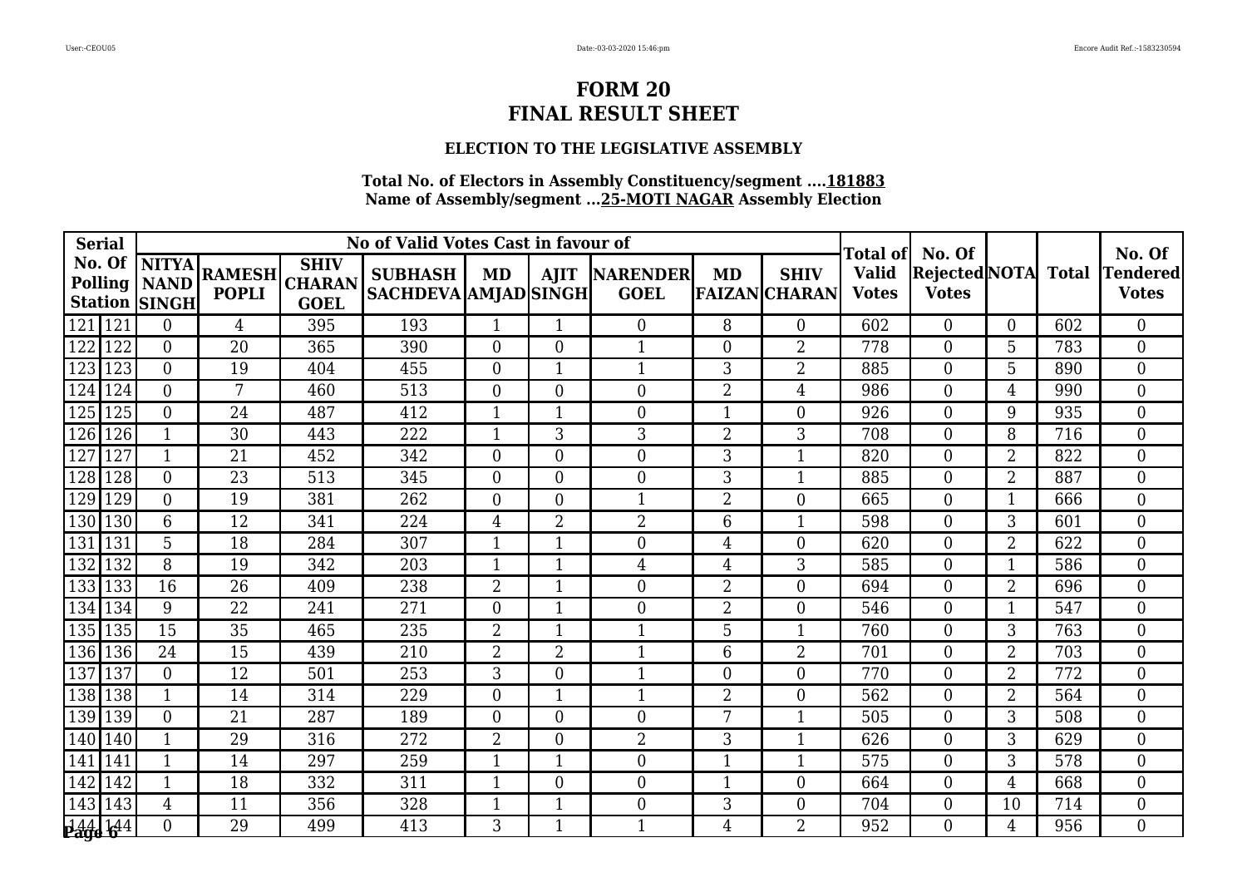### **ELECTION TO THE LEGISLATIVE ASSEMBLY**

| <b>Serial</b>                   |     |                                                          |                               |                                             | No of Valid Votes Cast in favour of           |                | Total of       | No. Of                              |                  |                                     | No. Of                       |                               |                |              |                          |
|---------------------------------|-----|----------------------------------------------------------|-------------------------------|---------------------------------------------|-----------------------------------------------|----------------|----------------|-------------------------------------|------------------|-------------------------------------|------------------------------|-------------------------------|----------------|--------------|--------------------------|
|                                 |     | No. Of  NITYA <br>Polling   NAND<br><b>Station SINGH</b> | <b>RAMESH</b><br><b>POPLI</b> | <b>SHIV</b><br><b>CHARAN</b><br><b>GOEL</b> | <b>SUBHASH</b><br><b>SACHDEVA AMJAD SINGH</b> | MD             |                | <b>AJIT NARENDER</b><br><b>GOEL</b> | MD               | <b>SHIV</b><br><b>FAIZAN CHARAN</b> | <b>Valid</b><br><b>Votes</b> | Rejected NOTA<br><b>Votes</b> |                | <b>Total</b> | Tendered<br><b>Votes</b> |
| 121                             | 121 | $\Omega$                                                 | $\overline{4}$                | 395                                         | 193                                           | 1              | $\mathbf 1$    | $\overline{0}$                      | 8                | $\Omega$                            | 602                          | $\Omega$                      | $\Omega$       | 602          | $\overline{0}$           |
| 122                             | 122 | $\overline{0}$                                           | 20                            | 365                                         | 390                                           | $\overline{0}$ | $\overline{0}$ | $\mathbf{1}$                        | $\overline{0}$   | $\overline{2}$                      | 778                          | $\theta$                      | 5              | 783          | $\overline{0}$           |
| 123                             | 123 | $\Omega$                                                 | 19                            | 404                                         | 455                                           | $\Omega$       | $\mathbf 1$    | $\mathbf{1}$                        | 3                | $\overline{2}$                      | 885                          | $\Omega$                      | 5              | 890          | $\overline{0}$           |
| 124                             | 124 | $\Omega$                                                 | 7                             | 460                                         | $\overline{513}$                              | $\Omega$       | $\overline{0}$ | $\boldsymbol{0}$                    | $\overline{2}$   | 4                                   | 986                          | $\Omega$                      | $\overline{4}$ | 990          | $\overline{0}$           |
| 125                             | 125 | $\overline{0}$                                           | 24                            | 487                                         | 412                                           | $\mathbf{1}$   |                | $\boldsymbol{0}$                    | $\mathbf{1}$     | 0                                   | 926                          | $\theta$                      | 9              | 935          | $\overline{0}$           |
| 126                             | 126 | $\mathbf{1}$                                             | 30                            | 443                                         | 222                                           | $\mathbf{1}$   | 3              | 3                                   | $\overline{2}$   | 3                                   | 708                          | $\Omega$                      | 8              | 716          | $\overline{0}$           |
| 127                             | 127 | $\mathbf{1}$                                             | 21                            | 452                                         | 342                                           | $\Omega$       | $\Omega$       | $\overline{0}$                      | 3                | 1                                   | 820                          | $\Omega$                      | $\overline{2}$ | 822          | $\theta$                 |
| 128                             | 128 | $\theta$                                                 | 23                            | 513                                         | 345                                           | $\overline{0}$ | $\overline{0}$ | $\boldsymbol{0}$                    | 3                | 1                                   | 885                          | $\Omega$                      | $\overline{2}$ | 887          | $\overline{0}$           |
| 129                             | 129 | $\overline{0}$                                           | 19                            | 381                                         | 262                                           | $\overline{0}$ | $\overline{0}$ | $\mathbf{1}$                        | $\overline{2}$   | $\overline{0}$                      | 665                          | $\Omega$                      | $\mathbf{1}$   | 666          | $\overline{0}$           |
| 130                             | 130 | 6                                                        | $\overline{12}$               | 341                                         | 224                                           | $\overline{4}$ | $\overline{2}$ | $\overline{2}$                      | 6                | 1                                   | 598                          | $\Omega$                      | 3              | 601          | $\overline{0}$           |
| 131                             | 131 | 5                                                        | 18                            | 284                                         | 307                                           | -1             |                | $\boldsymbol{0}$                    | 4                | 0                                   | 620                          | $\Omega$                      | $\overline{2}$ | 622          | $\overline{0}$           |
| 132                             | 132 | 8                                                        | 19                            | 342                                         | 203                                           | $\mathbf 1$    |                | $\overline{4}$                      | 4                | 3                                   | 585                          | $\Omega$                      | $\mathbf{1}$   | 586          | $\boldsymbol{0}$         |
| 133                             | 133 | 16                                                       | $\overline{26}$               | 409                                         | 238                                           | $\overline{2}$ | $\mathbf{1}$   | $\boldsymbol{0}$                    | $\overline{2}$   | $\overline{0}$                      | 694                          | $\Omega$                      | $\overline{2}$ | 696          | $\overline{0}$           |
| 134                             | 134 | 9                                                        | 22                            | 241                                         | 271                                           | $\overline{0}$ |                | $\boldsymbol{0}$                    | $\overline{2}$   | 0                                   | 546                          | $\theta$                      |                | 547          | $\Omega$                 |
| 135                             | 135 | 15                                                       | 35                            | 465                                         | 235                                           | $\overline{2}$ |                | $\mathbf{1}$                        | 5                | 1                                   | 760                          | $\Omega$                      | 3              | 763          | $\boldsymbol{0}$         |
| 136                             | 136 | 24                                                       | 15                            | 439                                         | 210                                           | $\overline{2}$ | $\overline{2}$ | $\mathbf{1}$                        | 6                | $\overline{2}$                      | 701                          | $\Omega$                      | $\overline{2}$ | 703          | $\overline{0}$           |
| 137                             | 137 | $\Omega$                                                 | 12                            | 501                                         | 253                                           | 3              | $\overline{0}$ | $\mathbf{1}$                        | $\boldsymbol{0}$ | $\overline{0}$                      | 770                          | $\theta$                      | $\overline{2}$ | 772          | $\Omega$                 |
| 138                             | 138 | $\mathbf 1$                                              | 14                            | 314                                         | 229                                           | $\overline{0}$ |                | $\mathbf{1}$                        | $\overline{2}$   | 0                                   | 562                          | $\Omega$                      | $\overline{2}$ | 564          | $\boldsymbol{0}$         |
| 139                             | 139 | $\Omega$                                                 | 21                            | 287                                         | 189                                           | $\overline{0}$ | $\overline{0}$ | $\boldsymbol{0}$                    | 7                | 1                                   | 505                          | $\Omega$                      | 3              | 508          | $\overline{0}$           |
| 140                             | 140 |                                                          | 29                            | 316                                         | 272                                           | $\overline{2}$ | $\overline{0}$ | $\overline{2}$                      | 3                | 1                                   | 626                          | $\Omega$                      | 3              | 629          | $\Omega$                 |
| 141                             | 141 | $\overline{\mathbf{1}}$                                  | 14                            | 297                                         | 259                                           |                |                | $\boldsymbol{0}$                    | $\mathbf{1}$     |                                     | 575                          | $\Omega$                      | 3              | 578          | $\overline{0}$           |
| 142                             | 142 | $\mathbf{1}$                                             | 18                            | 332                                         | 311                                           | $\mathbf{1}$   | $\overline{0}$ | $\boldsymbol{0}$                    | $\mathbf{1}$     | $\overline{0}$                      | 664                          | $\Omega$                      | $\overline{4}$ | 668          | $\overline{0}$           |
| 143                             | 143 | 4                                                        | 11                            | 356                                         | 328                                           | -1             |                | $\overline{0}$                      | 3                | 0                                   | 704                          | $\Omega$                      | 10             | 714          | $\Omega$                 |
| <b>144 144</b><br><b>Page 6</b> |     | $\Omega$                                                 | 29                            | 499                                         | 413                                           | 3              |                | 1                                   | 4                | $\overline{2}$                      | 952                          | $\Omega$                      | 4              | 956          | $\overline{0}$           |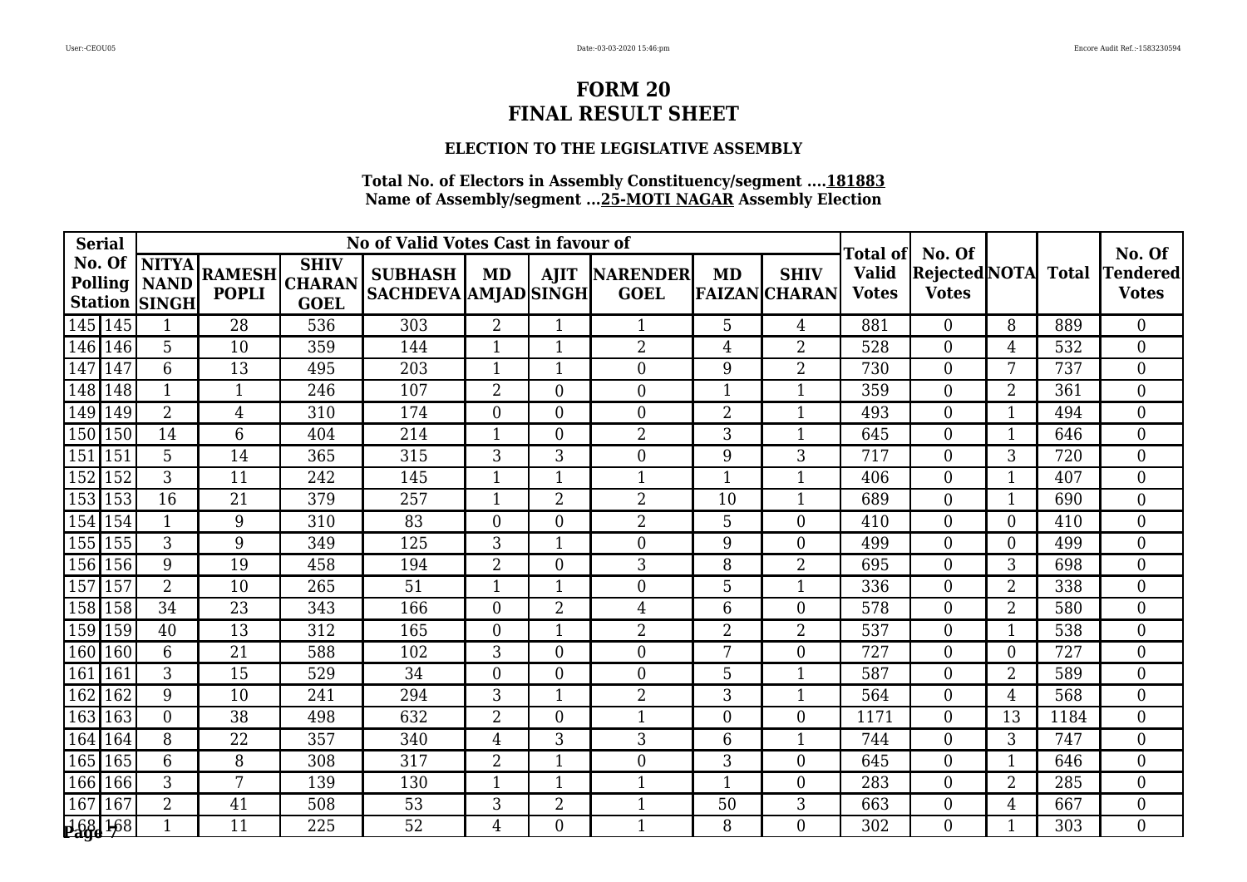## **ELECTION TO THE LEGISLATIVE ASSEMBLY**

| <b>Serial</b> |     |                                                          |                               |                                             | No of Valid Votes Cast in favour of           |                | Total of       | No. Of                         |                |                                     | No. Of                       |                                      |                 |              |                                 |
|---------------|-----|----------------------------------------------------------|-------------------------------|---------------------------------------------|-----------------------------------------------|----------------|----------------|--------------------------------|----------------|-------------------------------------|------------------------------|--------------------------------------|-----------------|--------------|---------------------------------|
| No. Of        |     | <b>NITYA</b><br>Polling   NAND  <br><b>Station SINGH</b> | <b>RAMESH</b><br><b>POPLI</b> | <b>SHIV</b><br><b>CHARAN</b><br><b>GOEL</b> | <b>SUBHASH</b><br><b>SACHDEVA AMJAD SINGH</b> | MD             | <b>AJIT</b>    | <b>NARENDER</b><br><b>GOEL</b> | <b>MD</b>      | <b>SHIV</b><br><b>FAIZAN CHARAN</b> | <b>Valid</b><br><b>Votes</b> | <b>Rejected NOTA</b><br><b>Votes</b> |                 | <b>Total</b> | <b>Tendered</b><br><b>Votes</b> |
| 145   145     |     | $\mathbf 1$                                              | 28                            | 536                                         | 303                                           | 2              |                | 1                              | 5              | 4                                   | 881                          | $\overline{0}$                       | 8               | 889          | $\overline{0}$                  |
| 146           | 146 | 5                                                        | 10                            | 359                                         | 144                                           | 1              | 1              | $\overline{2}$                 | 4              | 2                                   | 528                          | $\theta$                             | 4               | 532          | $\overline{0}$                  |
| 147           | 147 | 6                                                        | 13                            | 495                                         | 203                                           | -1             |                | $\boldsymbol{0}$               | 9              | 2                                   | 730                          | $\Omega$                             | $7\overline{ }$ | 737          | $\overline{0}$                  |
| 148           | 148 | $\mathbf{1}$                                             | 1                             | 246                                         | 107                                           | $\overline{2}$ | $\overline{0}$ | $\boldsymbol{0}$               | $\mathbf{1}$   |                                     | 359                          | $\theta$                             | $\overline{2}$  | 361          | $\overline{0}$                  |
| 149           | 149 | $\overline{2}$                                           | $\overline{4}$                | 310                                         | 174                                           | $\overline{0}$ | $\overline{0}$ | $\boldsymbol{0}$               | $\overline{2}$ | 1                                   | 493                          | $\Omega$                             | 1               | 494          | $\Omega$                        |
| 150           | 150 | 14                                                       | 6                             | 404                                         | 214                                           | -1             | 0              | $\overline{2}$                 | 3              | 1                                   | 645                          | $\Omega$                             |                 | 646          | $\overline{0}$                  |
| 151           | 151 | $5\overline{)}$                                          | 14                            | 365                                         | 315                                           | 3              | 3              | $\boldsymbol{0}$               | 9              | 3                                   | 717                          | $\Omega$                             | 3               | 720          | $\overline{0}$                  |
| 152           | 152 | 3                                                        | 11                            | 242                                         | 145                                           | 1              |                | $\mathbf{1}$                   | $\mathbf{1}$   | 1                                   | 406                          | $\Omega$                             | 1               | 407          | $\overline{0}$                  |
| 153           | 153 | 16                                                       | 21                            | 379                                         | 257                                           | -1             | $\overline{2}$ | $\overline{2}$                 | 10             | 1                                   | 689                          | $\Omega$                             | 1               | 690          | $\Omega$                        |
| 154           | 154 | $\mathbf{1}$                                             | 9                             | 310                                         | $\overline{83}$                               | $\Omega$       | $\overline{0}$ | $\overline{2}$                 | 5              | $\overline{0}$                      | 410                          | $\Omega$                             | 0               | 410          | $\theta$                        |
| 155           | 155 | 3                                                        | 9                             | 349                                         | 125                                           | 3              |                | $\boldsymbol{0}$               | 9              | 0                                   | 499                          | $\Omega$                             | $\Omega$        | 499          | $\overline{0}$                  |
| 156           | 156 | 9                                                        | 19                            | 458                                         | 194                                           | $\overline{2}$ | 0              | 3                              | 8              | 2                                   | 695                          | $\Omega$                             | 3               | 698          | $\overline{0}$                  |
| 157           | 157 | $\overline{2}$                                           | 10                            | 265                                         | $\overline{51}$                               | $\mathbf 1$    |                | $\overline{0}$                 | 5              | 1                                   | 336                          | $\Omega$                             | $\overline{2}$  | 338          | $\theta$                        |
| 158           | 158 | 34                                                       | 23                            | 343                                         | 166                                           | $\theta$       | 2              | 4                              | 6              | 0                                   | 578                          | $\Omega$                             | $\overline{2}$  | 580          | $\theta$                        |
| 159           | 159 | 40                                                       | 13                            | 312                                         | 165                                           | $\theta$       | $\mathbf 1$    | $\overline{2}$                 | $\overline{2}$ | 2                                   | 537                          | $\Omega$                             | 1               | 538          | $\overline{0}$                  |
| 160           | 160 | 6                                                        | 21                            | 588                                         | 102                                           | 3              | $\overline{0}$ | $\boldsymbol{0}$               | 7              | $\overline{0}$                      | 727                          | $\Omega$                             | $\Omega$        | 727          | $\overline{0}$                  |
| 161           | 161 | 3                                                        | 15                            | 529                                         | 34                                            | $\Omega$       | $\overline{0}$ | $\boldsymbol{0}$               | 5              |                                     | 587                          | $\Omega$                             | $\overline{2}$  | 589          | $\overline{0}$                  |
| 162           | 162 | 9                                                        | 10                            | 241                                         | 294                                           | 3              |                | $\overline{2}$                 | $\overline{3}$ |                                     | 564                          | $\Omega$                             | 4               | 568          | $\overline{0}$                  |
| 163           | 163 | $\Omega$                                                 | 38                            | 498                                         | 632                                           | $\overline{2}$ | $\Omega$       | $\mathbf{1}$                   | $\overline{0}$ | $\overline{0}$                      | 1171                         | $\Omega$                             | 13              | 1184         | $\Omega$                        |
| 164           | 164 | 8                                                        | 22                            | 357                                         | 340                                           | 4              | 3              | 3                              | 6              | 1                                   | 744                          | $\Omega$                             | 3               | 747          | $\overline{0}$                  |
| 165           | 165 | 6                                                        | 8                             | 308                                         | 317                                           | $\overline{2}$ |                | $\boldsymbol{0}$               | 3              | $\overline{0}$                      | 645                          | $\theta$                             |                 | 646          | $\boldsymbol{0}$                |
| 166           | 166 | 3                                                        | 7                             | 139                                         | 130                                           | -1             | $\mathbf 1$    | $\mathbf{1}$                   | $\mathbf{1}$   | $\overline{0}$                      | 283                          | $\Omega$                             | $\overline{2}$  | 285          | $\overline{0}$                  |
| 167           | 167 | $\overline{2}$                                           | 41                            | 508                                         | 53                                            | 3              | $\overline{2}$ | $\mathbf{1}$                   | 50             | 3                                   | 663                          | $\Omega$                             | 4               | 667          | $\theta$                        |
| 168/168       |     |                                                          | 11                            | 225                                         | 52                                            | 4              | 0              | 1                              | 8              | 0                                   | 302                          | $\Omega$                             |                 | 303          | $\theta$                        |